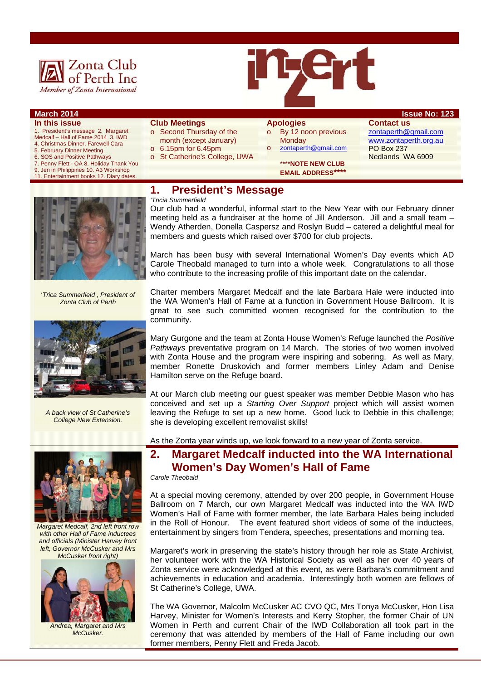

#### **March 2014 Issue No: 123 In this issue**

- 1. President's message 2. Margaret
- Medcalf Hall of Fame 2014 3. IWD
- 4. Christmas Dinner, Farewell Cara 5. February Dinner Meeting
- 6. SOS and Positive Pathways
- 7. Penny Flett OA 8. Holiday Thank You
- 9. Jeri in Philippines 10. A3 Workshop 11. Entertainment books 12. Diary date
- **Club Meetings**
- o Second Thursday of the month (except January)
- o 6.15pm for 6.45pm
- o St Catherine's College, UWA
- **Apologies**  o By 12 noon previous

**Monday** 

o zontaperth@gmail.com \*\*\*\***NOTE NEW CLUB EMAIL ADDRESS\*\*\*\*** 

**Contact us**  zontaperth@gmail.com www.zontaperth.org.au PO Box 237 Nedlands WA 6909

### **1. President's Message**

'*Trica Summerfield , President of Zonta Club of Perth* 



*A back view of St Catherine's College New Extension.* 



*Margaret Medcalf, 2nd left front row with other Hall of Fame inductees and officials (Minister Harvey front left, Governor McCusker and Mrs McCusker front right)* 



*Andrea, Margaret and Mrs McCusker.* 

*'Tricia Summerfield*  Our club had a wonderful, informal start to the New Year with our February dinner meeting held as a fundraiser at the home of Jill Anderson. Jill and a small team – Wendy Atherden, Donella Caspersz and Roslyn Budd – catered a delightful meal for

members and guests which raised over \$700 for club projects.

March has been busy with several International Women's Day events which AD Carole Theobald managed to turn into a whole week. Congratulations to all those who contribute to the increasing profile of this important date on the calendar.

Charter members Margaret Medcalf and the late Barbara Hale were inducted into the WA Women's Hall of Fame at a function in Government House Ballroom. It is great to see such committed women recognised for the contribution to the community.

Mary Gurgone and the team at Zonta House Women's Refuge launched the *Positive Pathways* preventative program on 14 March. The stories of two women involved with Zonta House and the program were inspiring and sobering. As well as Mary, member Ronette Druskovich and former members Linley Adam and Denise Hamilton serve on the Refuge board.

At our March club meeting our guest speaker was member Debbie Mason who has conceived and set up a *Starting Over Support* project which will assist women leaving the Refuge to set up a new home. Good luck to Debbie in this challenge; she is developing excellent removalist skills!

As the Zonta year winds up, we look forward to a new year of Zonta service.

# **2. Margaret Medcalf inducted into the WA International Women's Day Women's Hall of Fame**

*Carole Theobald* 

At a special moving ceremony, attended by over 200 people, in Government House Ballroom on 7 March, our own Margaret Medcalf was inducted into the WA IWD Women's Hall of Fame with former member, the late Barbara Hales being included in the Roll of Honour. The event featured short videos of some of the inductees, entertainment by singers from Tendera, speeches, presentations and morning tea.

Margaret's work in preserving the state's history through her role as State Archivist, her volunteer work with the WA Historical Society as well as her over 40 years of Zonta service were acknowledged at this event, as were Barbara's commitment and achievements in education and academia. Interestingly both women are fellows of St Catherine's College, UWA.

The WA Governor, Malcolm McCusker AC CVO QC, Mrs Tonya McCusker, Hon Lisa Harvey, Minister for Women's Interests and Kerry Stopher, the former Chair of UN Women in Perth and current Chair of the IWD Collaboration all took part in the ceremony that was attended by members of the Hall of Fame including our own former members, Penny Flett and Freda Jacob.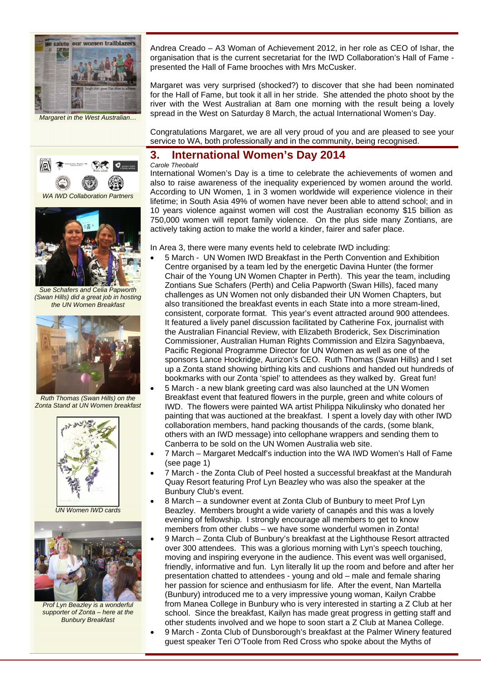

*Margaret in the West Australian…* 



*WA IWD Collaboration Partners* 



*Sue Schafers and Celia Papworth (Swan Hills) did a great job in hosting the UN Women Breakfast* 



*Ruth Thomas (Swan Hills) on the Zonta Stand at UN Women breakfast* 



*UN Women IWD cards* 



*Prof Lyn Beazley is a wonderful supporter of Zonta – here at the Bunbury Breakfast* 

Andrea Creado – A3 Woman of Achievement 2012, in her role as CEO of Ishar, the organisation that is the current secretariat for the IWD Collaboration's Hall of Fame presented the Hall of Fame brooches with Mrs McCusker.

Margaret was very surprised (shocked?) to discover that she had been nominated for the Hall of Fame, but took it all in her stride. She attended the photo shoot by the river with the West Australian at 8am one morning with the result being a lovely spread in the West on Saturday 8 March, the actual International Women's Day.

Congratulations Margaret, we are all very proud of you and are pleased to see your service to WA, both professionally and in the community, being recognised.

#### **3. International Women's Day 2014**

*Carole Theobald*  International Women's Day is a time to celebrate the achievements of women and also to raise awareness of the inequality experienced by women around the world. According to UN Women, 1 in 3 women worldwide will experience violence in their lifetime; in South Asia 49% of women have never been able to attend school; and in 10 years violence against women will cost the Australian economy \$15 billion as 750,000 women will report family violence. On the plus side many Zontians, are actively taking action to make the world a kinder, fairer and safer place.

In Area 3, there were many events held to celebrate IWD including:

- 5 March UN Women IWD Breakfast in the Perth Convention and Exhibition Centre organised by a team led by the energetic Davina Hunter (the former Chair of the Young UN Women Chapter in Perth). This year the team, including Zontians Sue Schafers (Perth) and Celia Papworth (Swan Hills), faced many challenges as UN Women not only disbanded their UN Women Chapters, but also transitioned the breakfast events in each State into a more stream-lined, consistent, corporate format. This year's event attracted around 900 attendees. It featured a lively panel discussion facilitated by Catherine Fox, journalist with the Australian Financial Review, with Elizabeth Broderick, Sex Discrimination Commissioner, Australian Human Rights Commission and Elzira Sagynbaeva, Pacific Regional Programme Director for UN Women as well as one of the sponsors Lance Hockridge, Aurizon's CEO. Ruth Thomas (Swan Hills) and I set up a Zonta stand showing birthing kits and cushions and handed out hundreds of bookmarks with our Zonta 'spiel' to attendees as they walked by. Great fun!
- 5 March a new blank greeting card was also launched at the UN Women Breakfast event that featured flowers in the purple, green and white colours of IWD. The flowers were painted WA artist Philippa Nikulinsky who donated her painting that was auctioned at the breakfast. I spent a lovely day with other IWD collaboration members, hand packing thousands of the cards, (some blank, others with an IWD message) into cellophane wrappers and sending them to Canberra to be sold on the UN Women Australia web site.
- 7 March Margaret Medcalf's induction into the WA IWD Women's Hall of Fame (see page 1)
- 7 March the Zonta Club of Peel hosted a successful breakfast at the Mandurah Quay Resort featuring Prof Lyn Beazley who was also the speaker at the Bunbury Club's event.
- 8 March a sundowner event at Zonta Club of Bunbury to meet Prof Lyn Beazley. Members brought a wide variety of canapés and this was a lovely evening of fellowship. I strongly encourage all members to get to know members from other clubs – we have some wonderful women in Zonta!
- 9 March Zonta Club of Bunbury's breakfast at the Lighthouse Resort attracted over 300 attendees. This was a glorious morning with Lyn's speech touching, moving and inspiring everyone in the audience. This event was well organised, friendly, informative and fun. Lyn literally lit up the room and before and after her presentation chatted to attendees - young and old – male and female sharing her passion for science and enthusiasm for life. After the event, Nan Martella (Bunbury) introduced me to a very impressive young woman, Kailyn Crabbe from Manea College in Bunbury who is very interested in starting a Z Club at her school. Since the breakfast, Kailyn has made great progress in getting staff and other students involved and we hope to soon start a Z Club at Manea College.
- 9 March Zonta Club of Dunsborough's breakfast at the Palmer Winery featured guest speaker Teri O'Toole from Red Cross who spoke about the Myths of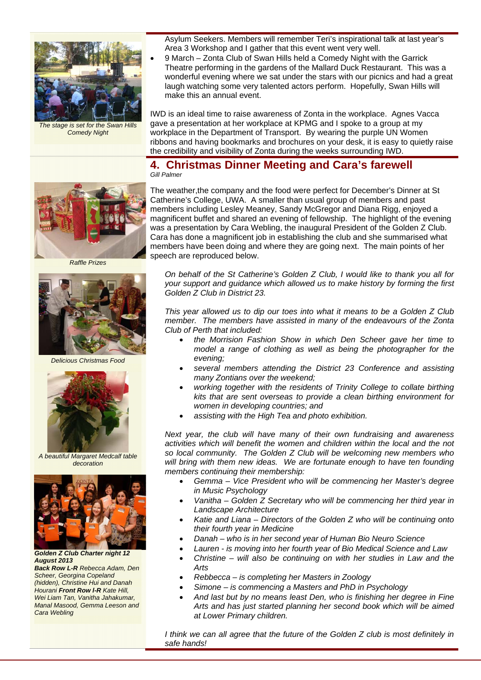

*The stage is set for the Swan Hills Comedy Night* 

Asylum Seekers. Members will remember Teri's inspirational talk at last year's Area 3 Workshop and I gather that this event went very well.

 9 March – Zonta Club of Swan Hills held a Comedy Night with the Garrick Theatre performing in the gardens of the Mallard Duck Restaurant. This was a wonderful evening where we sat under the stars with our picnics and had a great laugh watching some very talented actors perform. Hopefully, Swan Hills will make this an annual event.

IWD is an ideal time to raise awareness of Zonta in the workplace. Agnes Vacca gave a presentation at her workplace at KPMG and I spoke to a group at my workplace in the Department of Transport. By wearing the purple UN Women ribbons and having bookmarks and brochures on your desk, it is easy to quietly raise the credibility and visibility of Zonta during the weeks surrounding IWD.

#### **4. Christmas Dinner Meeting and Cara's farewell**  *Gill Palmer*

The weather,the company and the food were perfect for December's Dinner at St Catherine's College, UWA. A smaller than usual group of members and past members including Lesley Meaney, Sandy McGregor and Diana Rigg, enjoyed a magnificent buffet and shared an evening of fellowship. The highlight of the evening was a presentation by Cara Webling, the inaugural President of the Golden Z Club. Cara has done a magnificent job in establishing the club and she summarised what members have been doing and where they are going next. The main points of her speech are reproduced below.

*On behalf of the St Catherine's Golden Z Club, I would like to thank you all for your support and guidance which allowed us to make history by forming the first Golden Z Club in District 23.* 

*This year allowed us to dip our toes into what it means to be a Golden Z Club member. The members have assisted in many of the endeavours of the Zonta Club of Perth that included:* 

- *the Morrision Fashion Show in which Den Scheer gave her time to model a range of clothing as well as being the photographer for the evening;*
- *several members attending the District 23 Conference and assisting many Zontians over the weekend;*
- *working together with the residents of Trinity College to collate birthing kits that are sent overseas to provide a clean birthing environment for women in developing countries; and*
- *assisting with the High Tea and photo exhibition.*

*Next year, the club will have many of their own fundraising and awareness activities which will benefit the women and children within the local and the not so local community. The Golden Z Club will be welcoming new members who will bring with them new ideas. We are fortunate enough to have ten founding members continuing their membership:* 

- *Gemma Vice President who will be commencing her Master's degree in Music Psychology*
- *Vanitha Golden Z Secretary who will be commencing her third year in Landscape Architecture*
- *Katie and Liana Directors of the Golden Z who will be continuing onto their fourth year in Medicine*
- *Danah who is in her second year of Human Bio Neuro Science*
- *Lauren is moving into her fourth year of Bio Medical Science and Law*
- *Christine will also be continuing on with her studies in Law and the Arts*
- *Rebbecca is completing her Masters in Zoology*
- *Simone is commencing a Masters and PhD in Psychology*
- *And last but by no means least Den, who is finishing her degree in Fine Arts and has just started planning her second book which will be aimed at Lower Primary children.*

*I think we can all agree that the future of the Golden Z club is most definitely in safe hands!* 



*Raffle Prizes* 



*Delicious Christmas Food* 



*A beautiful Margaret Medcalf table decoration* 



*Golden Z Club Charter night 12 August 2013 Back Row L-R Rebecca Adam, Den Scheer, Georgina Copeland (hidden), Christine Hui and Danah Hourani Front Row l-R Kate Hill, Wei Liam Tan, Vanitha Jahakumar, Manal Masood, Gemma Leeson and Cara Webling*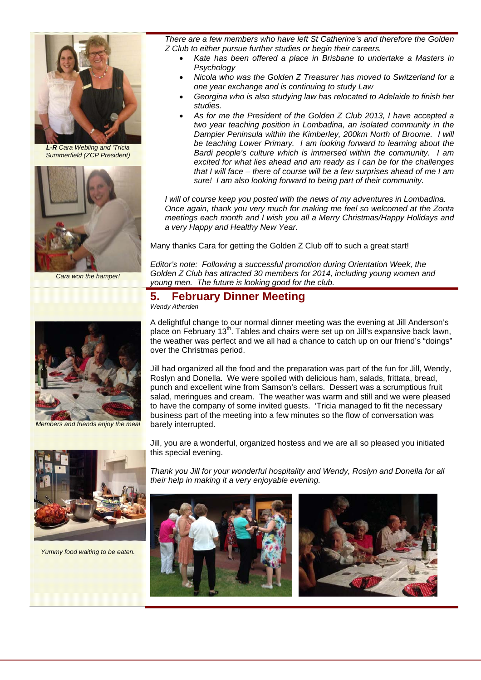

*L-R Cara Webling and 'Tricia Summerfield (ZCP President)* 



*Cara won the hamper!* 

*There are a few members who have left St Catherine's and therefore the Golden Z Club to either pursue further studies or begin their careers.* 

- *Kate has been offered a place in Brisbane to undertake a Masters in Psychology*
- *Nicola who was the Golden Z Treasurer has moved to Switzerland for a one year exchange and is continuing to study Law*
- *Georgina who is also studying law has relocated to Adelaide to finish her studies.*
- *As for me the President of the Golden Z Club 2013, I have accepted a two year teaching position in Lombadina, an isolated community in the Dampier Peninsula within the Kimberley, 200km North of Broome. I will be teaching Lower Primary. I am looking forward to learning about the Bardi people's culture which is immersed within the community. I am excited for what lies ahead and am ready as I can be for the challenges that I will face – there of course will be a few surprises ahead of me I am sure! I am also looking forward to being part of their community.*

*I will of course keep you posted with the news of my adventures in Lombadina. Once again, thank you very much for making me feel so welcomed at the Zonta meetings each month and I wish you all a Merry Christmas/Happy Holidays and a very Happy and Healthy New Year.* 

Many thanks Cara for getting the Golden Z Club off to such a great start!

*Editor's note: Following a successful promotion during Orientation Week, the Golden Z Club has attracted 30 members for 2014, including young women and young men. The future is looking good for the club.* 

# **5. February Dinner Meeting**

*Wendy Atherden* 



*Members and friends enjoy the meal* 



*Yummy food waiting to be eaten.* 

A delightful change to our normal dinner meeting was the evening at Jill Anderson's place on February 13<sup>th</sup>. Tables and chairs were set up on Jill's expansive back lawn, the weather was perfect and we all had a chance to catch up on our friend's "doings" over the Christmas period.

Jill had organized all the food and the preparation was part of the fun for Jill, Wendy, Roslyn and Donella. We were spoiled with delicious ham, salads, frittata, bread, punch and excellent wine from Samson's cellars. Dessert was a scrumptious fruit salad, meringues and cream. The weather was warm and still and we were pleased to have the company of some invited guests. 'Tricia managed to fit the necessary business part of the meeting into a few minutes so the flow of conversation was barely interrupted.

Jill, you are a wonderful, organized hostess and we are all so pleased you initiated this special evening.

*Thank you Jill for your wonderful hospitality and Wendy, Roslyn and Donella for all their help in making it a very enjoyable evening.* 



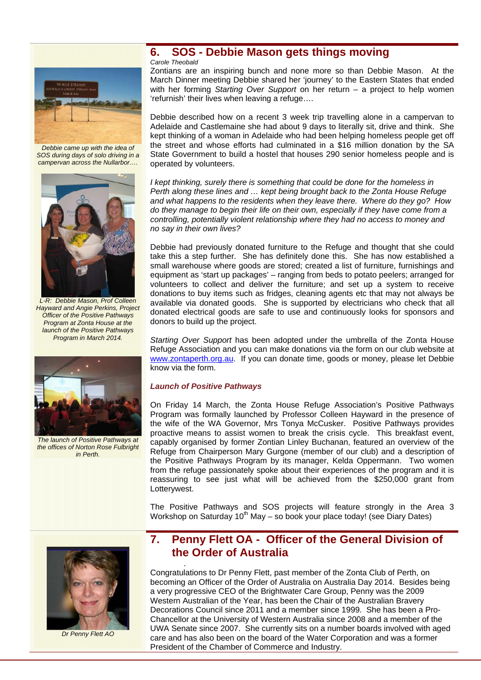

*Debbie came up with the idea of SOS during days of solo driving in a campervan across the Nullarbor….* 



*L-R: Debbie Mason, Prof Colleen Hayward and Angie Perkins, Project Officer of the Positive Pathways Program at Zonta House at the launch of the Positive Pathways Program in March 2014.* 



*The launch of Positive Pathways at the offices of Norton Rose Fulbright in Perth.* 

# **6. SOS - Debbie Mason gets things moving**

*Carole Theobald* 

Zontians are an inspiring bunch and none more so than Debbie Mason. At the March Dinner meeting Debbie shared her 'journey' to the Eastern States that ended with her forming *Starting Over Support* on her return – a project to help women 'refurnish' their lives when leaving a refuge….

Debbie described how on a recent 3 week trip travelling alone in a campervan to Adelaide and Castlemaine she had about 9 days to literally sit, drive and think. She kept thinking of a woman in Adelaide who had been helping homeless people get off the street and whose efforts had culminated in a \$16 million donation by the SA State Government to build a hostel that houses 290 senior homeless people and is operated by volunteers.

*I* kept thinking, surely there is something that could be done for the homeless in *Perth along these lines and … kept being brought back to the Zonta House Refuge and what happens to the residents when they leave there. Where do they go? How do they manage to begin their life on their own, especially if they have come from a controlling, potentially violent relationship where they had no access to money and no say in their own lives?* 

Debbie had previously donated furniture to the Refuge and thought that she could take this a step further. She has definitely done this. She has now established a small warehouse where goods are stored; created a list of furniture, furnishings and equipment as 'start up packages' – ranging from beds to potato peelers; arranged for volunteers to collect and deliver the furniture; and set up a system to receive donations to buy items such as fridges, cleaning agents etc that may not always be available via donated goods. She is supported by electricians who check that all donated electrical goods are safe to use and continuously looks for sponsors and donors to build up the project.

*Starting Over Support* has been adopted under the umbrella of the Zonta House Refuge Association and you can make donations via the form on our club website at www.zontaperth.org.au. If you can donate time, goods or money, please let Debbie know via the form.

#### *Launch of Positive Pathways*

.

On Friday 14 March, the Zonta House Refuge Association's Positive Pathways Program was formally launched by Professor Colleen Hayward in the presence of the wife of the WA Governor, Mrs Tonya McCusker. Positive Pathways provides proactive means to assist women to break the crisis cycle. This breakfast event, capably organised by former Zontian Linley Buchanan, featured an overview of the Refuge from Chairperson Mary Gurgone (member of our club) and a description of the Positive Pathways Program by its manager, Kelda Oppermann. Two women from the refuge passionately spoke about their experiences of the program and it is reassuring to see just what will be achieved from the \$250,000 grant from Lotterywest.

The Positive Pathways and SOS projects will feature strongly in the Area 3 Workshop on Saturday  $10^{th}$  May – so book your place today! (see Diary Dates)



*Dr Penny Flett AO* 

# **7. Penny Flett OA - Officer of the General Division of the Order of Australia**

Congratulations to Dr Penny Flett, past member of the Zonta Club of Perth, on becoming an Officer of the Order of Australia on Australia Day 2014. Besides being a very progressive CEO of the Brightwater Care Group, Penny was the 2009 Western Australian of the Year, has been the Chair of the Australian Bravery Decorations Council since 2011 and a member since 1999. She has been a Pro-Chancellor at the University of Western Australia since 2008 and a member of the UWA Senate since 2007. She currently sits on a number boards involved with aged care and has also been on the board of the Water Corporation and was a former President of the Chamber of Commerce and Industry.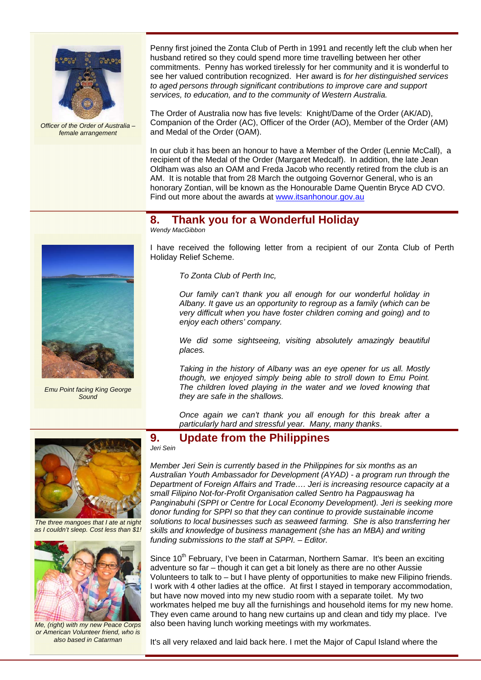

*Officer of the Order of Australia – female arrangement* 

Penny first joined the Zonta Club of Perth in 1991 and recently left the club when her husband retired so they could spend more time travelling between her other commitments. Penny has worked tirelessly for her community and it is wonderful to see her valued contribution recognized. Her award is *for her distinguished services to aged persons through significant contributions to improve care and support services, to education, and to the community of Western Australia.*

The Order of Australia now has five levels: Knight/Dame of the Order (AK/AD), Companion of the Order (AC), Officer of the Order (AO), Member of the Order (AM) and Medal of the Order (OAM).

In our club it has been an honour to have a Member of the Order (Lennie McCall), a recipient of the Medal of the Order (Margaret Medcalf). In addition, the late Jean Oldham was also an OAM and Freda Jacob who recently retired from the club is an AM. It is notable that from 28 March the outgoing Governor General, who is an honorary Zontian, will be known as the Honourable Dame Quentin Bryce AD CVO. Find out more about the awards at www.itsanhonour.gov.au

#### **8. Thank you for a Wonderful Holiday**

*Wendy MacGibbon* 

I have received the following letter from a recipient of our Zonta Club of Perth Holiday Relief Scheme.

*To Zonta Club of Perth Inc,* 

*Our family can't thank you all enough for our wonderful holiday in Albany. It gave us an opportunity to regroup as a family (which can be very difficult when you have foster children coming and going) and to enjoy each others' company.* 

*We did some sightseeing, visiting absolutely amazingly beautiful places.* 

*Taking in the history of Albany was an eye opener for us all. Mostly though, we enjoyed simply being able to stroll down to Emu Point. The children loved playing in the water and we loved knowing that they are safe in the shallows.* 

*Once again we can't thank you all enough for this break after a particularly hard and stressful year. Many, many thanks*.



*Emu Point facing King George Sound* 



*The three mangoes that I ate at night as I couldn't sleep. Cost less than \$1!* 



*Me, (right) with my new Peace Corps or American Volunteer friend, who is also based in Catarman* 

#### **9. Update from the Philippines**

*Jeri Sein* 

*Member Jeri Sein is currently based in the Philippines for six months as an Australian Youth Ambassador for Development (AYAD) - a program run through the Department of Foreign Affairs and Trade…. Jeri is increasing resource capacity at a small Filipino Not-for-Profit Organisation called Sentro ha Pagpauswag ha Panginabuhi (SPPI or Centre for Local Economy Development). Jeri is seeking more donor funding for SPPI so that they can continue to provide sustainable income solutions to local businesses such as seaweed farming. She is also transferring her skills and knowledge of business management (she has an MBA) and writing funding submissions to the staff at SPPI. – Editor.* 

Since 10<sup>th</sup> February, I've been in Catarman, Northern Samar. It's been an exciting adventure so far – though it can get a bit lonely as there are no other Aussie Volunteers to talk to – but I have plenty of opportunities to make new Filipino friends. I work with 4 other ladies at the office. At first I stayed in temporary accommodation, but have now moved into my new studio room with a separate toilet. My two workmates helped me buy all the furnishings and household items for my new home. They even came around to hang new curtains up and clean and tidy my place. I've also been having lunch working meetings with my workmates.

It's all very relaxed and laid back here. I met the Major of Capul Island where the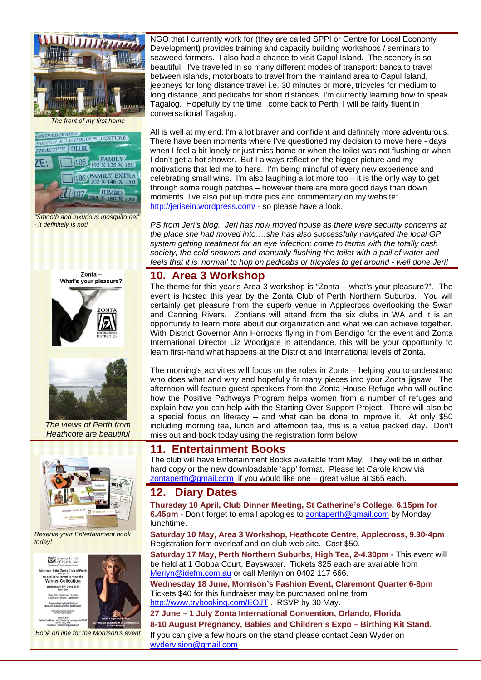



*"Smooth and luxurious mosquito net" - it definitely is not!* 

NGO that I currently work for (they are called SPPI or Centre for Local Economy Development) provides training and capacity building workshops / seminars to seaweed farmers. I also had a chance to visit Capul Island. The scenery is so beautiful. I've travelled in so many different modes of transport: banca to travel between islands, motorboats to travel from the mainland area to Capul Island, jeepneys for long distance travel i.e. 30 minutes or more, tricycles for medium to long distance, and pedicabs for short distances. I'm currently learning how to speak Tagalog. Hopefully by the time I come back to Perth, I will be fairly fluent in conversational Tagalog.

All is well at my end. I'm a lot braver and confident and definitely more adventurous. There have been moments where I've questioned my decision to move here - days when I feel a bit lonely or just miss home or when the toilet was not flushing or when I don't get a hot shower. But I always reflect on the bigger picture and my motivations that led me to here. I'm being mindful of every new experience and celebrating small wins. I'm also laughing a lot more too  $-$  it is the only way to get through some rough patches – however there are more good days than down moments. I've also put up more pics and commentary on my website: http://jerisein.wordpress.com/ - so please have a look.

*PS from Jeri's blog. Jeri has now moved house as there were security concerns at the place she had moved into….she has also successfully navigated the local GP system getting treatment for an eye infection; come to terms with the totally cash society, the cold showers and manually flushing the toilet with a pail of water and feels that it is 'normal' to hop on pedicabs or tricycles to get around - well done Jeri!* 

# $Z$ onta – What's your pleasure?



*The views of Perth from Heathcote are beautiful* 



*Reserve your Entertainment book today!* 

**Zonta Club**<br>of Perth Inc.

son & the Zonta Club of Per n exclusive event to view the<br>Winter Collection nesday 18<sup>m</sup> June 2014 Shop 164, Claremont Quarter, entation by Kylie Radford **Individual styling sessor**<br>Ity Morrison stylists Tickets \$40<br>http://www.br<br>AFR-15-10 M



*Book on line for the Morrison's event* 

# **10. Area 3 Workshop**

The theme for this year's Area 3 workshop is "Zonta – what's your pleasure?". The event is hosted this year by the Zonta Club of Perth Northern Suburbs. You will certainly get pleasure from the superb venue in Applecross overlooking the Swan and Canning Rivers. Zontians will attend from the six clubs in WA and it is an opportunity to learn more about our organization and what we can achieve together. With District Governor Ann Horrocks flying in from Bendigo for the event and Zonta International Director Liz Woodgate in attendance, this will be your opportunity to learn first-hand what happens at the District and International levels of Zonta.

The morning's activities will focus on the roles in Zonta – helping you to understand who does what and why and hopefully fit many pieces into your Zonta jigsaw. The afternoon will feature guest speakers from the Zonta House Refuge who will outline how the Positive Pathways Program helps women from a number of refuges and explain how you can help with the Starting Over Support Project. There will also be a special focus on literacy – and what can be done to improve it. At only \$50 including morning tea, lunch and afternoon tea, this is a value packed day. Don't miss out and book today using the registration form below.

# **11. Entertainment Books**

The club will have Entertainment Books available from May. They will be in either hard copy or the new downloadable 'app' format. Please let Carole know via zontaperth@gmail.com if you would like one – great value at \$65 each.

### **12. Diary Dates**

**Thursday 10 April, Club Dinner Meeting, St Catherine's College, 6.15pm for 6.45pm -** Don't forget to email apologies to zontaperth@gmail.com by Monday lunchtime.

**Saturday 10 May, Area 3 Workshop, Heathcote Centre, Applecross, 9.30-4pm**  Registration form overleaf and on club web site. Cost \$50.

Saturday 17 May, Perth Northern Suburbs, High Tea, 2-4.30pm - This event will be held at 1 Gobba Court, Bayswater. Tickets \$25 each are available from Meriyn@idefm.com.au or call Merilyn on 0402 117 666.

**Wednesday 18 June, Morrison's Fashion Event, Claremont Quarter 6-8pm**  Tickets \$40 for this fundraiser may be purchased online from http://www.trybooking.com/EOJT . RSVP by 30 May.

**27 June – 1 July Zonta International Convention, Orlando, Florida** 

#### **8-10 August Pregnancy, Babies and Children's Expo – Birthing Kit Stand.**

If you can give a few hours on the stand please contact Jean Wyder on wydervision@gmail.com